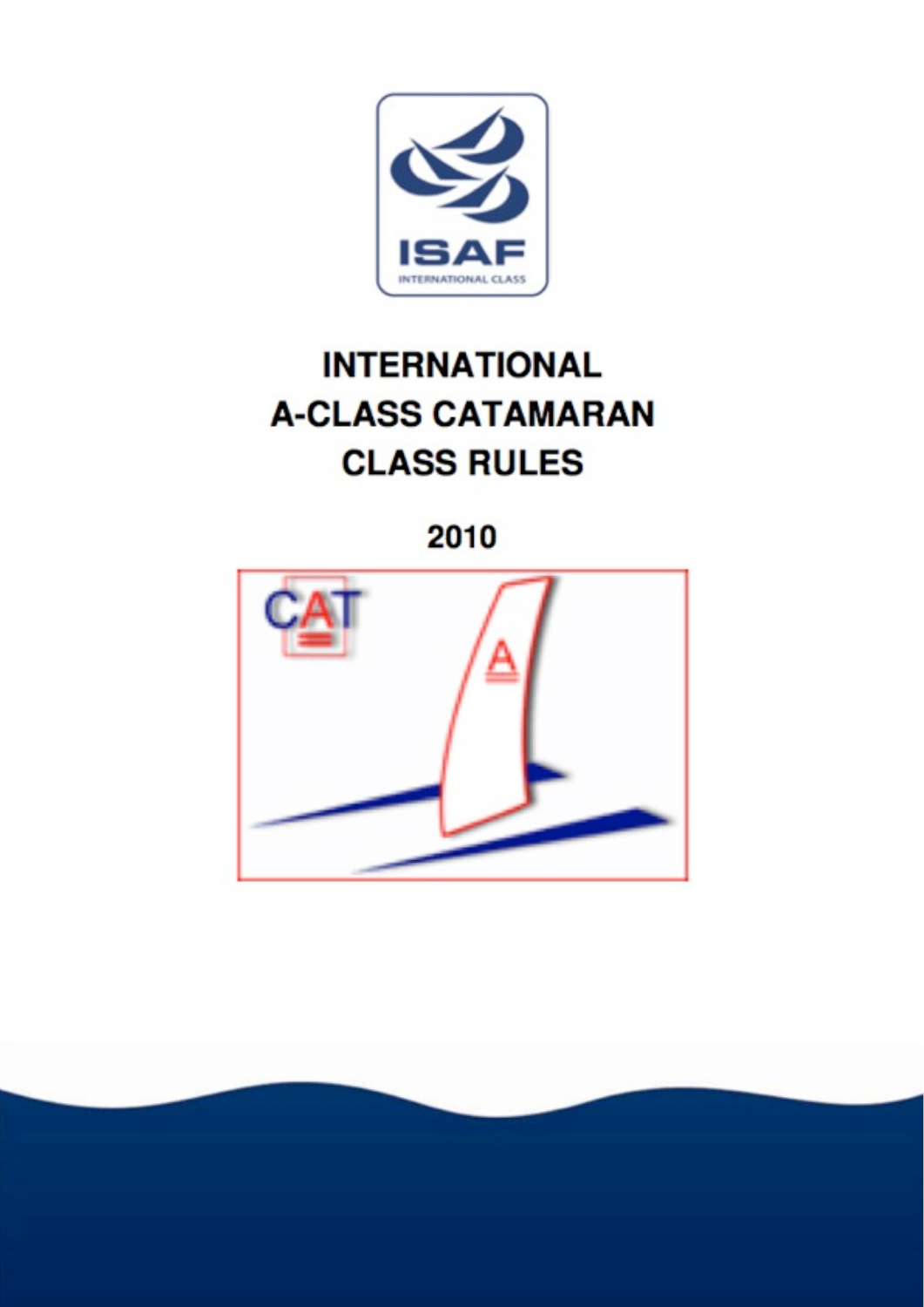

## **INTERNATIONAL A-CLASS CATAMARAN CLASS RULES**

2010

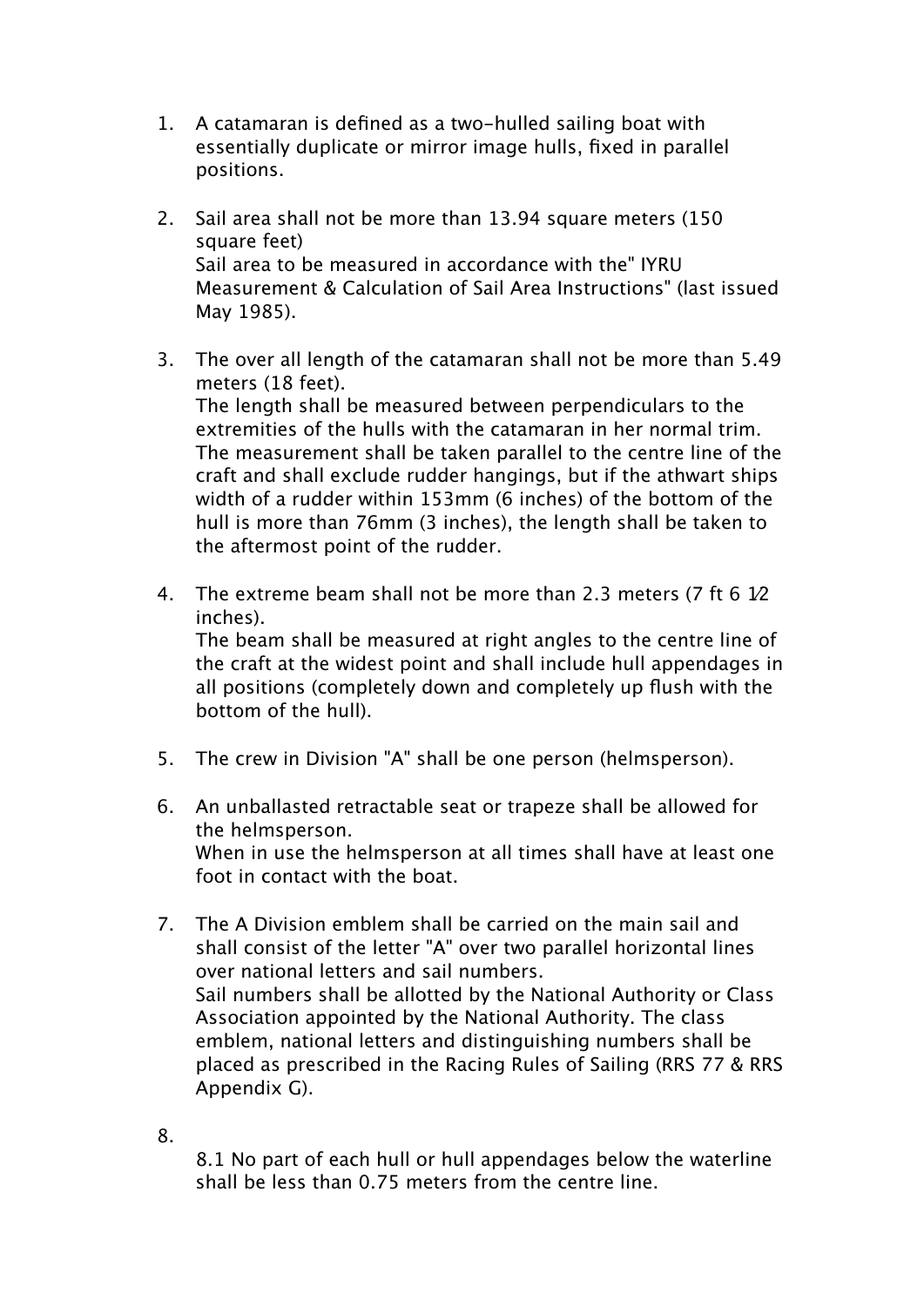- 1. A catamaran is defined as a two-hulled sailing boat with essentially duplicate or mirror image hulls, fixed in parallel positions.
- 2. Sail area shall not be more than 13.94 square meters (150 square feet) Sail area to be measured in accordance with the" IYRU Measurement & Calculation of Sail Area Instructions" (last issued May 1985).
- 3. The over all length of the catamaran shall not be more than 5.49 meters (18 feet). The length shall be measured between perpendiculars to the extremities of the hulls with the catamaran in her normal trim. The measurement shall be taken parallel to the centre line of the craft and shall exclude rudder hangings, but if the athwart ships width of a rudder within 153mm (6 inches) of the bottom of the hull is more than 76mm (3 inches), the length shall be taken to the aftermost point of the rudder.
- 4. The extreme beam shall not be more than 2.3 meters (7 ft 6 1⁄2 inches). The beam shall be measured at right angles to the centre line of the craft at the widest point and shall include hull appendages in all positions (completely down and completely up flush with the bottom of the hull).
- 5. The crew in Division "A" shall be one person (helmsperson).
- 6. An unballasted retractable seat or trapeze shall be allowed for the helmsperson. When in use the helmsperson at all times shall have at least one foot in contact with the boat.
- 7. The A Division emblem shall be carried on the main sail and shall consist of the letter "A" over two parallel horizontal lines over national letters and sail numbers. Sail numbers shall be allotted by the National Authority or Class Association appointed by the National Authority. The class emblem, national letters and distinguishing numbers shall be placed as prescribed in the Racing Rules of Sailing (RRS 77 & RRS Appendix G).
- 8.

8.1 No part of each hull or hull appendages below the waterline shall be less than 0.75 meters from the centre line.